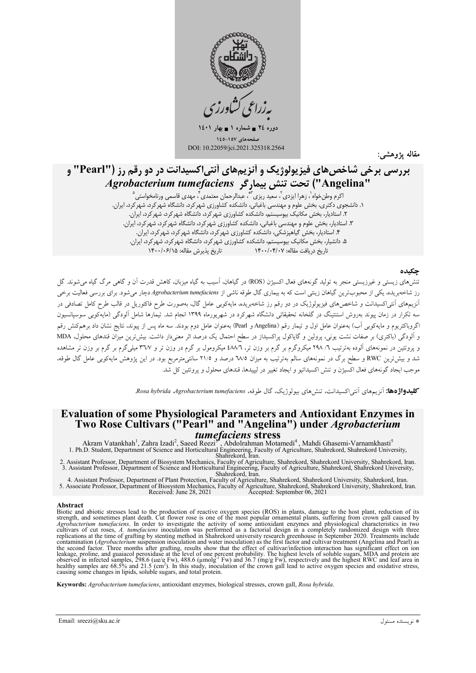

دوره ٢٤ = شماره ١ = بهار ١٤٠١ غحەهای ۱۵۷-۱٤٥ DOI: 10.22059/jci.2021.325318.2564

مقاله يژوهشه

# بررسی برخی شاخصهای فیزیولوژیک و آنزیمهای آنتیاکسیدانت در دو رقم رز ("Pearl" و "Angelina") تحت تنش بيماركر Agrobacterium tumefaciens

اکرم وطنخواه`، زهرا ایزدی`، سعید ریزی`'\*، عبدالرحمان معتمدی`، مهدی قاسمی ورنامخواستی ْ ر ۲٫ رسمی به مسلم کرد.<br>۱. دانشجوی دکتری، بخش علوم و مهندسی باغبانی، دانشکده کشاورزی شهرکرد، دانشگاه شهرکرد، شهرکرد، ایران.<br>۲. استادیار، بخش مکانیک بیوسیستم، دانشکده کشاورزی شهرکرد، دانشگاه شهرکرد، شهرکرد، ایران. ۳. استادیار، بخش علوم و مهندسی باغبانی، دانشکده کشاورزی شهر کرد، دانشگاه شهر کرد، شهر کرد، ایران. ۴. استادیار، بخش کیاهپزشکی، دانشکده کشاورزی شهر کرد، دانشگاه شهر کرد، شهر کرد، ایران. ۵. دانشیار، بخش مکانیک بیوسیستم، دانشکده کشاورزی شهر کرد، دانشگاه شهر کرد، شهر کرد، ایران. تاريخ درّيافت مقاله: ١۴٠٠/٠۴/٠٧ مسمعت تاريخ پذيرش مقاله: ١٣٠٠/٠۶/١۵

#### جكىدە

تنشهای زیستی و غیرزیستی منجر به تولید گونههای فعال اکسیژن (ROS) در گیاهان، آسیب به گیاه میزبان، کاهش قدرت آن و گاهی مرگ گیاه می شوند. گل رز شاخهبریده، یکی از محبوبترین گیاهان زینتی است که به بیماری گال طوقه ناشی از Agrobacterium tumefaciens دچار می شود. برای بررسی فعالیت برخی .<br>آنزیمهای آنتیاکسیدانت و شاخصهای فیزیولوژیک در دو رقم رز شاخهبریده، مایهکوبی عامل گال، بهصورت طرح فاکتوریل در قالب طرح کامل تصادفی در سه تکرار در زمان پیوند بهروش استنتینگ در گلخانه تحقیقاتی دانشگاه شهرکرد در شهریورماه ۱۳۹۹ انجام شد. تیمارها شامل آلودگی (مایهکوبی سوسپانسیون اگروباکتریوم و مایهکوبی اَب) بهعنوان عامل اول و تیمار رقم (Angelina و Pearl) بهعنوان عامل دوم بودند. سه ماه پس از پیوند، نتایج نشان داد برهمکنش رقم و آلودگی (باکتری) بر صفات نشت یونی، پرولین و گایاکول پراکسیداز در سطح احتمال یک درصد اثر معنیدار داشت. بیش ترین میزان قندهای محلول، MDA و یروتئین در نمونههای آلوده بهترتیب ۲/ ۲۹۸ میکروگرم بر گرم بر وزن تر، ۶۸/۳ میکرومول بر گرم در وزن تر و ۳۳/۷ میلیگرم بر گرم بر وزن تر مشاهده شد و بیشترین RWC و سطح برگ در نمونههای سالم بهترتیب به میزان ٦٨/٥ درصد و ٢١/٥ سانتیمترمربع بود. در این پژوهش مایهکوبی عامل گال طوقه، موجب ایجاد گونههای فعال اکسیژن و تنش اکسیداتیو و ایجاد تغییر در لیپیدها، قندهای محلول و پروتئین کل شد.

**کلیدواژ دها:** آنزیههای آنتر اکسیدانت، تنشرهای بیولوژیک، گال طوقه، Rosa hybrida *Agrobacterium tumefaciens.* 

# **Evaluation of some Physiological Parameters and Antioxidant Enzymes in** Two Rose Cultivars ("Pearl" and "Angelina") under *Agrobacterium tumefaciens* stress

Akram Vatankhah<sup>1</sup>, Zahra Izadi<sup>2</sup>, Saeed Reezi<sup>3</sup>, Abdolrahman Motamedi<sup>4</sup>, Mahdi Ghasemi-Varnamkhasti<sup>5</sup><br>1. Ph.D. Student, Department of Science and Horticultural Engineering, Faculty of Agriculture, Shahrekord, Shahreko

2. Assistant Professor, Department of Biosystem Mechanics, Faculty of Agriculture, Shahrekord, Shahrekord University, Shahrekord, Iran. 3. Assistant Professor, Department of Science and Horticultural Engineering, Faculty of Agriculture, Shahrekord, Shahrekord University,

4. Assistant Professor, Department of Plant Protection, Faculty of Agriculture, Shahrekord, Shahrekord University, Shahrekord, Iran 5. Associate Professor, Department of Biosystem Mechanics, Faculty of Agriculture, Shahrekord, Shahrekord University, Shahrekord, Iran. Received: June 28, 2021 Accepted: September 06, 2021

#### Abstract

Biotic and abiotic stresses lead to the production of reactive oxygen species (ROS) in plants, damage to the host plant, reduction of its strength, and sometimes plant death. Cut flower rose is one of the most popular orna strength, and sometimes plant death. Cut flower rose is one of the most popular ornamental plants, suffering from crown gall caused by *Agrobacterium tumefaciens*. In order to investigate the activity of some antioxidant

Keywords: Agrobacterium tumefaciens, antioxidant enzymes, biological stresses, crown gall, Rosa hybrida.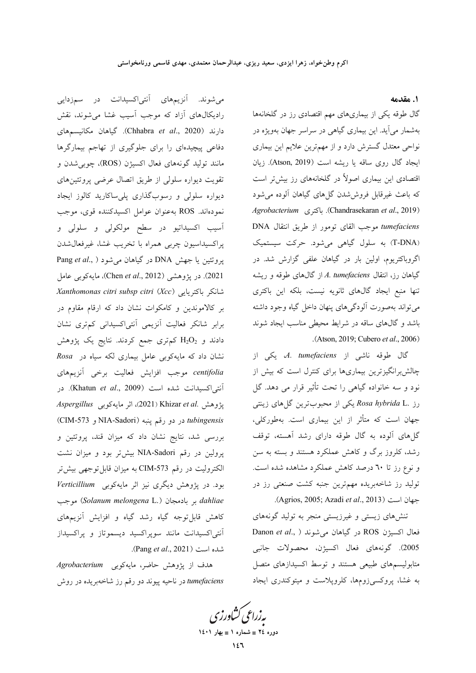١. مقدمه

گال طوقه یکی از بیماریهای مهم اقتصادی رز در گلخانهها بهشمار می آید. این بیماری گیاهی در سراسر جهان بهویژه در نواحی معتدل گسترش دارد و از مهمترین علایم این بیماری ايجاد گال روى ساقه يا ريشه است (Atson, 2019). زيان اقتصادی این بیماری اصولاً در گلخانههای رز بیش تر است که باعث غیرقابل فروششدن گلهای گیاهان آلوده میشود Agrobacterium (Chandrasekaran et al., 2019). باكترى tumefaciens موجب القاى تومور از طريق انتقال DNA (T-DNA) به سلول گیاهی میشود. حرکت سیستمیک اگروباکتریوم، اولین بار در گیاهان علفی گزارش شد. در گیاهان رز، انتقال A. tumefaciens از گالهای طوقه و ریشه تنها منبع ايجاد گالهاى ثانويه نيست، بلكه اين باكترى می تواند بهصورت آلودگیهای پنهان داخل گیاه وجود داشته باشد و گالهای ساقه در شرایط محیطی مناسب ایجاد شوند .(Atson, 2019; Cubero et al., 2006)

گال طوقه ناشی از *A. tumefaciens، یکی* از چالشبرانگیزترین بیماریها برای کنترل است که بیش از نود و سه خانواده گیاهی را تحت تأثیر قرار می دهد. گل رز .Rosa hybrida L یکی از محبوبترین گلهای زینتی جهان است که متأثر از این بیماری است. بهطورکلی، گلهای آلوده به گال طوقه دارای رشد آهسته، توقف رشد، کلروز برگ و کاهش عملکرد هستند و بسته به سن و نوع رز تا ٦٠ درصد كاهش عملكرد مشاهده شده است. تولید رز شاخهبریده مهمترین جنبه کشت صنعتی رز در .(Agrios, 2005; Azadi et al., 2013).

تنشهای زیستی و غیرزیستی منجر به تولید گونههای Danon et al., ) در گیاهان میشوند Danon et al., ) 2005). گونههاي فعال اكسيژن، محصولات جانبي متابولیسمهای طبیعی هستند و توسط اکسیدازهای متصل به غشا، پروکسیزومها، کلروپلاست و میتوکندری ایجاد

میشوند. آنزیمهای آنتی|کسیدانت در سمزدایی رادیکالهای آزاد که موجب آسیب غشا میشوند، نقش دارند (Chhabra *et al.*, 2020). گیاهان مکانیسمهای دفاعی پیچیدهای را برای جلوگیری از تهاجم بیمارگرها مانند تولید گونههای فعال اکسیژن (ROS)، چوبی شدن و تقویت دیواره سلولی از طریق اتصال عرضی پروتئینهای دیواره سلولی و رسوبگذاری پلیساکارید کالوز ایجاد نمودهاند. ROS بهعنوان عوامل اكسيدكننده قوى، موجب آسیب اکسیداتیو در سطح مولکولی و سلولی و پراکسیداسیون چربی همراه با تخریب غشا، غیرفعال شدن بروتئين يا جهش DNA در گياهان مي شود ( ,Pang et al 2021). در يژوهشي (Chen et al., 2012)، مايهكوبي عامل شانكر باكتريايي (Xanthomonas citri subsp citri (Xcc بر کالاموندین و کامکوات نشان داد که ارقام مقاوم در برابر شانکر فعالیت آنزیمی آنتیاکسیدانی کمتری نشان دادند و  $\rm H_2O_2$  کم تری جمع کردند. نتایج یک پژوهش نشان داد که مایهکویی عامل بیماری لکه سیاه در Rosa centifolia موجب افزايش فعاليت برخي آنزيمهاي آنتی|کسیدانت شده است (Khatun et al., 2009). در يژوهش .Khizar et al (2021)، اثر مايهكوبي Aspergillus CIM-573 در دو رقم پنبه NIA-Sadori) و CIM-573 بررسی شد، نتایج نشان داد که میزان قند، پروتئین و پرولین در رقم NIA-Sadori بیشتر بود و میزان نشت الكتروليت در رقم CIM-573 به ميزان قابل توجهي بيش تر بود. در پژوهش دیگری نیز اثر مایهکوبی Verticillium dahliae بر بادمجان (Solanum melongena L.) موجب کاهش قابل توجه گیاه رشد گیاه و افزایش آنزیمهای آنتی اکسیدانت مانند سوپراکسید دیسموتاز و پراکسیداز شده است (Pang et al., 2021).

هدف از پژوهش حاضر، مايهكوبى Agrobacterium tumefaciens در ناحیه پیوند دو رقم رز شاخهبریده در روش

بەزراعى كشاورزى دوره ٢٤ = شماره ١ = بهار ١٤٠١  $157$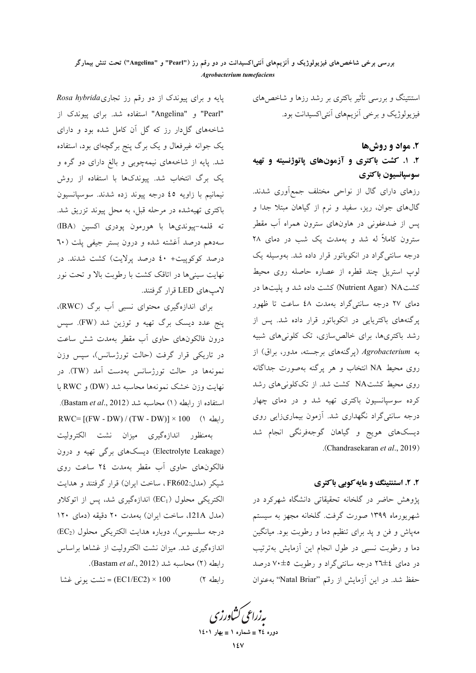استنتینگ و بررسی تأثیر باکتری بر رشد رزها و شاخصهای فیزیولوژیک و برخی آنزیمهای آنتی|کسیدانت بود.

# ۲. مواد و روش ها

# ۲. ۱. کشت باکتری و آزمونهای پاتوژنسیته و تهیه سوسيانسيون باكترى

رزهای دارای گال از نواحی مختلف جمعآوری شدند. گالهای جوان، ریز، سفید و نرم از گیاهان مبتلا جدا و پس از ضدعفونی در هاونهای سترون همراه آب مقطر سترون کاملاً له شد و بهمدت یک شب در دمای ۲۸ درجه سانتیگراد در انکوباتور قرار داده شد. بهوسیله یک لوپ استریل چند قطره از عصاره حاصله روی محیط كشت NAا (Nutrient Agar) كشت داده شد و پليتها در دمای ۲۷ درجه سانتیگراد بهمدت ٤٨ ساعت تا ظهور پرگنههای باکتریایی در انکوباتور قرار داده شد. پس از رشد باکتریها، برای خالص سازی، تک کلونیهای شبیه به Agrobacterium (پرگنههای برجسته، مدور، براق) از روی محیط NA انتخاب و هر پرگنه بهصورت جداگانه روی محیط کشتNA کشت شد. از تککلونیهای رشد کرده سوسپانسیون باکتری تهیه شد و در دمای چهار درجه سانتی گراد نگهداری شد. آزمون بیماریزایی روی دیسکهای هویج و گیاهان گوجهفرنگی انجام شد .(Chandrasekaran et al., 2019)

#### ۲. ۲. استنتینگ و مایه کوبی باکتری

یژوهش حاضر در گلخانه تحقیقاتی دانشگاه شهرکرد در شهریورماه ۱۳۹۹ صورت گرفت. گلخانه مجهز به سیستم مهپاش و فن و ید برای تنظیم دما و رطوبت بود. میانگین دما و رطوبت نسبی در طول انجام این آزمایش بهترتیب در دمای ٤±٢٦ درجه سانتیگراد و رطوبت ٥±٧٠ درصد حفظ شد. در این آزمایش از رقم "Natal Briar" به عنوان

پایه و برای پیوندک از دو رقم رز تجاریRosa hybrida "Pearl" و "Angelina" استفاده شد. برای پیوندک از شاخههای گلدار رز که گل آن کامل شده بود و دارای یک جوانه غیرفعال و یک برگ پنج برگچهای بود، استفاده شد. پایه از شاخههای نیمهچوبی و بالغ دارای دو گره و یک برگ انتخاب شد. پیوندکها با استفاده از روش نيمانيم با زاويه ٤٥ درجه پيوند زده شدند. سوسيانسيون باکتری تهیهشده در مرحله قبل، به محل پیوند تزریق شد. ته قلمه-پیوندیها با هورمون پودری اکسین (IBA) سهدهم درصد أغشته شده و درون بستر جيفي يلت (٦٠ درصد کوکوپیت+ ٤٠ درصد پرلايت) کشت شدند. در نهایت سینیها در اتاقک کشت با رطوبت بالا و تحت نور لامپهاي LED قرار گرفتند.

برای اندازهگیری محتوای نسبی آب برگ (RWC)، پنج عدد دیسک برگ تهیه و توزین شد (FW). سپس درون فالکونهای حاوی آب مقطر بهمدت شش ساعت در تاریکی قرار گرفت (حالت تورژسانس)، سپس وزن نمونهها در حالت تورژسانس بهدست آمد (TW). در نهايت وزن خشک نمونهها محاسبه شد (DW) و RWC با استفاده از رابطه (۱) محاسبه شد (Bastam et al., 2012).  $RWC=[(FW - DW) / (TW - DW)] \times 100$  (۱ رابطه ۱

بهمنظور اندازهگیری میزان نشت الکترولیت (Electrolyte Leakage) دیسکهای برگی تهیه و درون فالکونهای حاوی آب مقطر بهمدت ۲٤ ساعت روی شيكر (مدل:FR602 ، ساخت ايران) قرار گرفتند و هدايت الکتریکی محلول (EC1) اندازهگیری شد، پس از اتوکلاو (مدل 121A، ساخت ایران) بهمدت ۲۰ دقیقه (دمای ۱۲۰ درجه سلسیوس)، دوباره هدایت الکتریکی محلول (EC2) اندازهگیری شد. میزان نشت الکترولیت از غشاها براساس رابطه (٢) محاسبه شد (Bastam et al., 2012). EC1/EC2) × 100) = نشت يوني غشا رابطه ۲)

بەزراعى ڭشاورز دوره ٢٤ = شماره ١ = بهار ١٤٠١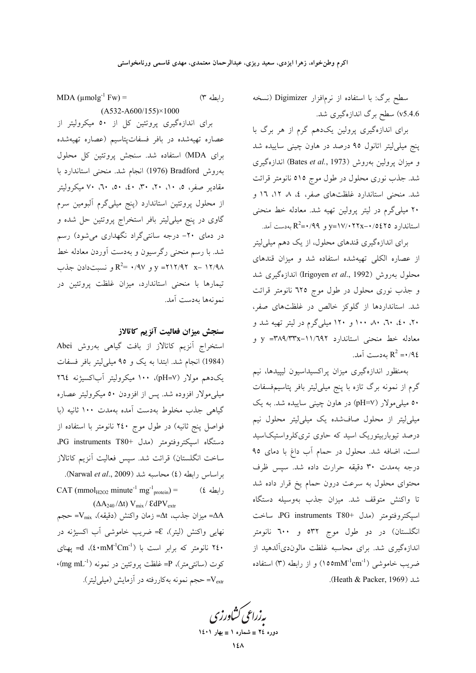سطح برگ: با استفاده از نرمافزار Digimizer (نسخه v5.4.6) سطح برگ اندازهگیری شد.

برای اندازهگیری پرولین یکدهم گرم از هر برگ با پنج میلهاییتر اتانول ۹۵ درصد در هاون چینی ساییده شد و ميزان يرولين بهروش (Bates et al., 1973) اندازهگيري شد. جذب نوری محلول در طول موج ٥١٥ نانومتر قرائت شد. منحنی استاندارد غلظتهای صفر، ٤، ٨ ١٢، ١٦ و ۲۰ میلی گرم در لیتر پرولین تهیه شد. معادله خط منحنی استاندارد 70\$10/06.70\*/17x−۰/ و 49/^+R2=.

برای اندازهگیری قندهای محلول، از یک دهم میلی لیتر از عصاره الکلی تهیهشده استفاده شد و میزان قندهای محلول بهروش (Irigoyen et al., 1992) اندازهگیری شد و جذب نوری محلول در طول موج ٦٢٥ نانومتر قرائت شد. استانداردها از گلوکز خالص در غلظتهای صفر، ۲۰، ٤٠، ۲۰، ۸۰، ۱۰۰ و ۱۲۰ میلیگرم در لیتر تهیه شد و معادله خط منحنی استاندارد y =۳۸۹/۳۳x-۱۱/٦۹۲ و ...<br> $R^2 = \cdot 96$  مەدست آمد

بهمنظور اندازهگیری میزان پراکسیداسیون لیپیدها، نیم گرم از نمونه برگ تازه با پنج میلیلیتر بافر پتاسیمفسفات **۰**۰ میل<sub>ی</sub>مولار (pH=۷) در هاون چینی ساییده شد. به یک میلی لیتر از محلول صافشده یک میلی لیتر محلول نیم درصد تیوباربیتوریک اسید که حاوی تریکلرواستیکاسید است، اضافه شد. محلول در حمام آب داغ با دمای ۹۵ درجه بهمدت ۳۰ دقیقه حرارت داده شد. سپس ظرف محتوای محلول به سرعت درون حمام یخ قرار داده شد تا واکنش متوقف شد. میزان جذب بهوسیله دستگاه اسيكتروفتومتر (مدل +PG instruments T80ب ساخت انگلستان) در دو طول موج ۵۳۲ و ۲۰۰ نانومتر اندازهگیری شد. برای محاسبه غلظت مالوندیآلدهید از ضريب خاموشي (1°100mM<sup>-1</sup>cm) و از رابطه (۳) استفاده شد (Heath & Packer, 1969).

رابطه ٣)

MDA ( $\mu$ molg<sup>-1</sup> Fw) =  $(A532-A600/155)\times1000$ 

برای اندازهگیری پروتئین کل از ۵۰ میکرولیتر از عصاره تهیهشده در بافر فسفاتپتاسیم (عصاره تهیهشده برای MDA) استفاده شد. سنجش پروتئین کل محلول بهروش Bradford (1976) انجام شد. منحنی استاندارد با مقادیر صفر، ۵، ۱۰، ۲۰، ۳۰، ۵۰، ۵۰، ۲۰، ۷۰ میکرولیتر از محلول پروتئین استاندارد (پنج میلیگرم آلبومین سرم گاوی در پنج میلی[یتر بافر استخراج پروتئین حل شده و در دمای ۲۰– درجه سانتیگراد نگهداری میشود) رسم شد. با رسم منحنی رگرسیون و بهدست آوردن معادله خط  $R^2 = \sqrt{(1 - x^2 + 1)^2 + 1^2}$ و  $Y = \sqrt{(1 - x^2 + 1)^2}$  و نسبتدادن جذب تیمارها با منحنی استاندارد، میزان غلظت پروتئین در نمونهها بهدست آمد.

### سنجش ميزان فعاليت آنزيم كاتالاز

استخراج آنزیم کاتالاز از بافت گیاهی بهروش Abei (1984) انجام شد. ابتدا به یک و ۹۵ میلی(یتر بافر فسفات یک دهم مولار (pH=V)، ۱۰۰ میکرولیتر آباکسیژنه ۲٦٤ میلی مولار افزوده شد. پس از افزودن ۵۰ میکرولیتر عصاره گیاهی جذب مخلوط بهدست آمده بهمدت ۱۰۰ ثانیه (با فواصل پنج ثانیه) در طول موج ۲٤۰ نانومتر با استفاده از دستگاه اسپکتروفتومتر (مدل +PG instruments T80. ساخت انگلستان) قرائت شد. سیس فعالیت آنزیم کاتالاز بر اساس رابطه (٤) محاسبه شد (Narwal et al., 2009). CAT (mmol<sub>H2O2</sub> minute<sup>-1</sup> mg<sup>-1</sup><sub>protein</sub>) =  $(2)$  الطه  $($  $(\Delta A_{240}/\Delta t)$  V<sub>mix</sub> / EdPV<sub>extr</sub>

 $-V_{\text{mix}}$  ميزان جذب،  $\Delta t$ = زمان واكنش (دقيقه)،  $V_{\text{mix}} = 2A$ نهایی واکنش (لیتر)، E= ضریب خاموشی آب اکسیژنه در نانومتر که برابر است با  $\text{t} \cdot \text{m} \text{M}^{-1}$ ؛)، d یهنای  $\cdot$ (mg mL $^{-1}$ ) كوت (سانتي متر)، P= غلظت يروتئين در نمونه ( =V<sub>extr</sub> حجم نمونه بهکاررفته در آزمایش (میل<sub>می</sub>لیتر).

بەزراعى كشاورزى دوره ٢٤ = شماره ١ = بهار ١٤٠١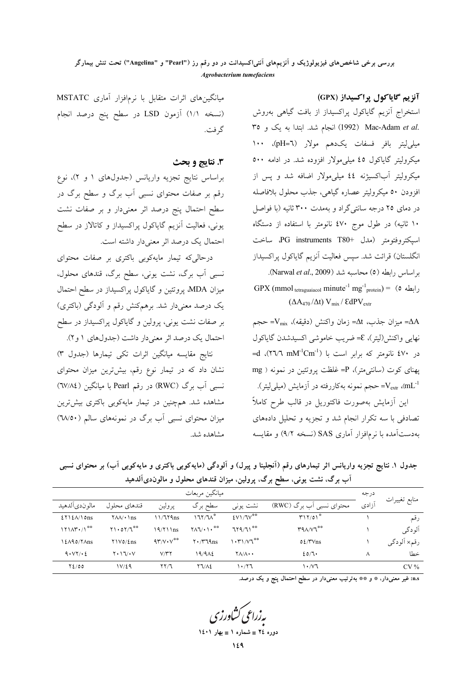آنزیم گایاکول پراکسیداز (GPX)

استخراج آنزیم گایاکول پراکسیداز از بافت گیاهی بهروش Mac-Adam et al. (1992) انجام شد. ابتدا به یک و ٣٥ ميلي ليتر بافر فسفات يكدهم مولار (pH=٦)، ١٠٠ میکرولیتر گایاکول ٤٥ میلیمولار افزوده شد. در ادامه ٥٠٠ میکرولیتر آباکسیژنه ٤٤ میلیمولار اضافه شد و پس از افزودن ٥٠ ميكروليتر عصاره گياهي، جذب محلول بلافاصله در دمای ۲۵ درجه سانتیگراد و بهمدت ۳۰۰ ثانیه (با فواصل ۱۰ ثانیه) در طول موج ٤٧٠ نانومتر با استفاده از دستگاه اسبكتروفتومتر (مدل +TG instruments T80 ساخت انگلستان) قرائت شد. سپس فعالیت آنزیم گایاکول پراکسیداز بر اساس رابطه (٥) محاسبه شد (Narwal et al., 2009). GPX (mmol tetraguaiacol minute<sup>-1</sup> mg<sup>-1</sup><sub>protein</sub>) = ( $\circ$   $\downarrow$ 

 $(\Delta A_{470}/\Delta t)$  V<sub>mix</sub> / EdPV<sub>extr</sub>

 $-V_{\text{mix}}$  ميزان جذب، dt $\Delta t$  زمان واكنش (دقيقه)،  $-V_{\text{mix}}$  حجم نهايي واكنش(ليتر)، ٤= ضريب خاموشي اكسيدشدن گاياكول =d (٢٦/٦ mM<sup>-1</sup>Cm<sup>-1</sup>) بانومتر که برابر است با پهنای کوت (سانتی•تر)، P= غلظت پروتئین در نمونه ( mg حجم نمونه بهکاررفته در آزمایش (میلی/لیتر). $\rm V_{\rm extr}$  (m $\rm L^{-1}$ این آزمایش بهصورت فاکتوریل در قالب طرح کاملاً تصادفی با سه تکرار انجام شد و تجزیه و تحلیل دادههای بهدست آمده با نرمافزار آماری SAS (نسخه ۹/۲) و مقایسه

میانگینهای اثرات متقابل با نرمافزار آماری MSTATC (نسخه ۱/۱) آزمون LSD در سطح پنج درصد انجام گر فت.

# 3. نتايج و بحث

براساس نتایج تجزیه واریانس (جدولهای ۱ و ۲)، نوع رقم بر صفات محتوای نسبی آب برگ و سطح برگ در سطح احتمال پنج درصد اثر معنیدار و بر صفات نشت یونی، فعالیت آنزیم گایاکول پراکسیداز و کاتالاز در سطح احتمال یک درصد اثر معنی دار داشته است.

درحالی که تیمار مایهکوبی باکتری بر صفات محتوای نسبی آب برگ، نشت یونی، سطح برگ، قندهای محلول، میزان MDA، پروتئین و گایاکول پراکسیداز در سطح احتمال یک درصد معنیدار شد. برهمکنش رقم و آلودگی (باکتری) بر صفات نشت یونی، پرولین و گایاکول پراکسیداز در سطح احتمال یک درصد اثر معنی دار داشت (جدولهای ۱ و۲).

نتايج مقايسه ميانگين اثرات تكي تيمارها (جدول ٣) نشان داد که در تیمار نوع رقم، بیشترین میزان محتوای نسبی آب برگ (RWC) در رقم Pearl با میانگین (٦٧/٨٤) مشاهده شد. همچنین در تیمار مایهکوبی باکتری بیشترین میزان محتوای نسبی آب برگ در نمونههای سالم (٦٨/٥٠) مشاهده شد.

جدول ۱. نتایج تجزیه واریانس اثر تیمارهای رقم (اَنجلینا و پیرل) و اَلودگی (مایهکوبی باکتری و مایهکوبی آب) بر محتوای نسبی آب برگ، نشت یونی، سطح برگ، پرولین، میزان قندهای محلول و مالوندیآلدهید

| ميانگين مربعات                                                                           |                                                                                                                                                                                                                                                                                                   |                           |                                                                 |                                 |                                                        |       |               |
|------------------------------------------------------------------------------------------|---------------------------------------------------------------------------------------------------------------------------------------------------------------------------------------------------------------------------------------------------------------------------------------------------|---------------------------|-----------------------------------------------------------------|---------------------------------|--------------------------------------------------------|-------|---------------|
| مالو ن دي الدهيد                                                                         | قندهای محلول                                                                                                                                                                                                                                                                                      | پرولين                    | سطح برگ                                                         | نشت يونى                        | محتواي نسبي أب برگ (RWC)                               | آزادى | منابع تغييرات |
| $\S$ $\frac{1}{2}$ $\frac{1}{2}$ $\frac{1}{2}$ $\frac{1}{2}$ $\frac{1}{2}$ $\frac{1}{2}$ | $\sqrt{\lambda}/\cdot \ln s$                                                                                                                                                                                                                                                                      | $11/779$ ns               | 177/T <sup>4</sup>                                              | $EV1/TV^{\# \#}$                | $T17/01^*$                                             |       | رقم           |
| $171AY·1$ <sup>**</sup>                                                                  | Y1.0Y/T                                                                                                                                                                                                                                                                                           | $19/71$ \ns               | $\uparrow \wedge \uparrow / \cdot \uparrow \cdot$ <sup>**</sup> | $719/71$ **                     | $\mathsf{r} \mathsf{q} \wedge \mathsf{v} \mathsf{v}^*$ |       | آلودگی        |
| 12190/71ns                                                                               | $\Upsilon$ \ $\Upsilon$ \ $\Upsilon$ \ $\Upsilon$ \ $\iota$ \ $\iota$ \ $\iota$ \ $\iota$ \ $\iota$ \ $\iota$ \ $\iota$ \ $\iota$ \ $\iota$ \ $\iota$ \ $\iota$ \ $\iota$ \ $\iota$ \ $\iota$ \ $\iota$ \ $\iota$ \ $\iota$ \ $\iota$ \ $\iota$ \ $\iota$ \ $\iota$ \ $\iota$ \ $\iota$ \ $\iota$ | $9Y/V \cdot V^{\ast\ast}$ | $Y \cdot \pi$ 19 $ns$                                           | $\cdot$ ۳۱/۷٦ $^{**}$           | $02/\mu\text{V}$                                       |       | رقم× ألودگي   |
| 9. VY / 6                                                                                | $Y \cdot 17/3V$                                                                                                                                                                                                                                                                                   | V/YY                      | 19/9 <sub>1</sub>                                               | $Y \wedge / \wedge \cdot \cdot$ | 20/7                                                   | ٨     | خطا           |
| $Y_{2/00}$                                                                               | 1V/29                                                                                                                                                                                                                                                                                             | YY/T                      | 27/12                                                           | ۱۰/۲٦                           | $\cdot$ / $\vee$ ٦                                     |       | $CV\%$        |

n.s: غیر معنیدار، ٭ و ٭٭ بهترتیب معنیدار در سطح احتمال پنج و یک درصد.

پەزراعى ڭشاورز دوره ٢٤ = شماره ١ = بهار ١٤٠١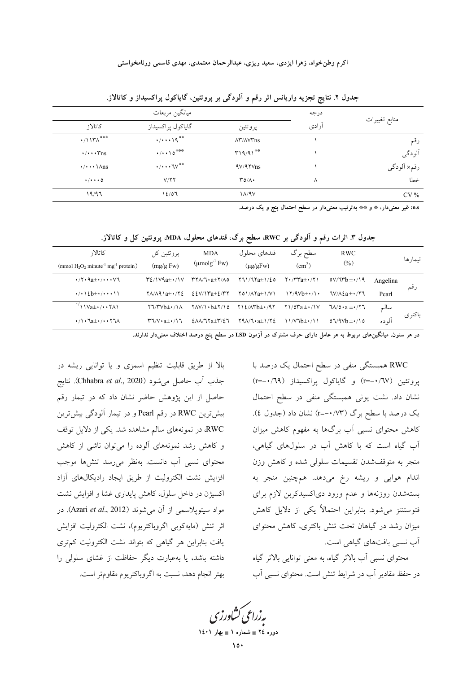|                                            | ميانگين مربعات                              | درجه                                       |       |               |  |
|--------------------------------------------|---------------------------------------------|--------------------------------------------|-------|---------------|--|
| كاتالاز                                    | گاياكول پراكسيداز                           | پروتئين                                    | آزادی | منابع تغييرات |  |
| $\cdot$ /11۳ $\Lambda$ ***                 | $\cdot/\cdot\cdot\cdot$ \ $\mathbf{q}^{**}$ | $\Lambda^{\nu}/\Lambda\mathrm{V}^{\nu}$ ns |       | رقم           |  |
| $\cdot/\cdot\cdot\cdot\mathsf{Y}$ ns       | $\cdot/\cdot\cdot\cdot0^{***}$              | $T19/91^{*0}$                              |       | آلودگی        |  |
| $\cdot/\cdot\cdot\cdot\setminus\Lambda$ ns | $\cdot/\cdot\cdot\cdot\vee^{\ast\ast}$      | $4V/4$ Y $v_{ns}$                          |       | رقم× اَلودگي  |  |
| $\cdot/\cdot\cdot\cdot$ 0                  | V/77                                        | $\mathsf{r}\circ\wedge\cdot$               | Λ     | خطا           |  |
| 19/97                                      | 12/07                                       | $1/\sqrt{4V}$                              |       | $CV\%$        |  |

جدول ۲. نتایج تجزیه واریانس اثر رقم و آلودگی بر پروتئین، گایاکول پراکسیداز و کاتالاز.

n.s: غیر معنیدار، \* و \*\* بهترتیب معنیدار در سطح احتمال پنج و یک درصد.

جدول ۳. اثرات رقم و آلودگی بر RWC، سطح برگ، قندهای محلول، MDA، پروتئین کل و کاتالاز.

| تىمار ھا |          | <b>RWC</b>                       | سطح برگ                                                                                  | قندهای محلول                                                                 | <b>MDA</b>                                                                                        | پروتئين کل                                                                        | كاتالاز                                                                           |
|----------|----------|----------------------------------|------------------------------------------------------------------------------------------|------------------------------------------------------------------------------|---------------------------------------------------------------------------------------------------|-----------------------------------------------------------------------------------|-----------------------------------------------------------------------------------|
|          |          | $(\%)$                           | (cm <sup>2</sup> )                                                                       | $(\mu g/gFw)$                                                                | $(\mu \text{molg}^{-1} \text{ Fw})$                                                               | (mg/g Fw)                                                                         | (mmol $H_2O_2$ minute <sup>-1</sup> mg <sup>-1</sup> protein)                     |
|          | Angelina | $oV/Trb \pm 1/19$                | $\mathsf{Y} \cdot \mathsf{M} \mathsf{Y} \mathsf{a} \pm \mathsf{Y} \mathsf{Y} \mathsf{A}$ | 771/77a±1/٤٥                                                                 | $\mathsf{r}\mathsf{r}\wedge\mathsf{r}\cdot\mathsf{a}\pm\mathsf{r}\wedge\mathsf{r}\circ\mathsf{r}$ | $Y\&\wedge V$ 9a $\pm$ $\cdot$ / $\vee$                                           | $\cdot$ /۲۰۹ $a \pm \cdot$ /۰۰۰ $\nabla$                                          |
| رقم      | Pearl    | $7V/\lambda \xi a \pm 1/77$      | $17/9Vb\pm(1)$                                                                           | $\Upsilon$ $\Delta$ $\Lambda$ $\Upsilon$ $\Delta$ $\pm$ $\Upsilon$ $\Lambda$ | $22V/Ya \pm 2VY$                                                                                  | $Y$ $\Lambda$ $\Lambda$ $\Lambda$ $\lambda$ $\pm$ $\cdot$ $/$ $\Lambda$ $\lambda$ | $\cdot$ / $\cdot$ \ 2b $\pm$ $\cdot$ / $\cdot$ $\cdot$ \ \ \                      |
|          | سالم     | $\sqrt{20 \cdot a \pm \cdot 77}$ | $\frac{1}{2}$                                                                            | $Y12/AYb\pm Y4Y$                                                             | $YAV/\rightarrow b \pm Y/\rightarrow o$                                                           | $Y \Upsilon / Y \vee b \pm \cdot / \Lambda$                                       | $\frac{11\sqrt{a} \pm \sqrt{a} \cdot \sqrt{a}}{a}$                                |
| باكترى   | آلو ده   | $07/9Vb \pm 1/10$                | $11/V$ $B_{\pm}/11$                                                                      | $Y9\Lambda/T \cdot a \pm 1/Y2$                                               | $\S$ $\Lambda\Lambda$ / $\Upsilon$ $\chi$ $\pm\Upsilon$ $\chi$ $\Upsilon$                         | $\Upsilon \Upsilon / V \cdot a \pm \cdot / \Upsilon$                              | $\cdot/\cdot$ $\cdot$ $\lambda$ $\pm$ $\cdot$ / $\cdot$ $\cdot$ $\cdot$ $\lambda$ |
|          |          |                                  |                                                                                          |                                                                              |                                                                                                   |                                                                                   |                                                                                   |

در هر ستون، میانگینهای مربوط به هر عامل دارای حرف مشترک در آزمون LSD در سطح پنج درصد اختلاف معنیدار ندارند.

RWC همبستگی منفی در سطح احتمال یک درصد با پروتئين (٦٧/٠-=r) و گاياكول پراكسيداز (٢٩/٠-=r) نشان داد. نشت یونی همبستگی منفی در سطح احتمال یک درصد با سطح برگ (r=-۰/۷۳) نشان داد (جدول ٤). کاهش محتوای نسبی آب برگها به مفهوم کاهش میزان آب گیاه است که با کاهش آب در سلولهای گیاهی، منجر به متوقفشدن تقسیمات سلولی شده و کاهش وزن اندام هوایی و ریشه رخ میدهد. همچنین منجر به بستهشدن روزنهها و عدم ورود دیاکسیدکربن لازم برای فتوستنتز میشود. بنابراین احتمالاً یکی از دلایل کاهش میزان رشد در گیاهان تحت تنش باکتری، کاهش محتوای آب نسبی بافتهای گیاهی است.

محتوای نسبی آب بالاتر گیاه، به معنی توانایی بالاتر گیاه در حفظ مقادیر آب در شرایط تنش است. محتوای نسبی آب

بالا از طریق قابلیت تنظیم اسمزی و یا توانایی ریشه در جذب أب حاصل مي شود (Chhabra *et al.*, 2020). نتايج حاصل از این پژوهش حاضر نشان داد که در تیمار رقم بیش ترین RWC در رقم Pearl و در تیمار آلودگی بیش ترین RWC، در نمونههای سالم مشاهده شد. یکی از دلایل توقف و کاهش رشد نمونههای آلوده را میتوان ناشی از کاهش محتواي نسبي أب دانست. بهنظر مي رسد تنشها موجب افزایش نشت الکترولیت از طریق ایجاد رادیکالهای آزاد اکسیژن در داخل سلول، کاهش پایداری غشا و افزایش نشت مواد سیتوپلاسمی از آن میشوند (Azari et al., 2012). در اثر تنش (مايهكوبي اگروباكتريوم)، نشت الكتروليت افزايش یافت بنابراین هر گیاهی که بتواند نشت الکترولیت کمتری داشته باشد، یا بهعبارت دیگر حفاظت از غشای سلولی را بهتر انجام دهد، نسبت به اگروباکتریوم مقاومتر است.

بەزراعى كشاورزى دوره ٢٤ = شماره ١ = بهار ١٤٠١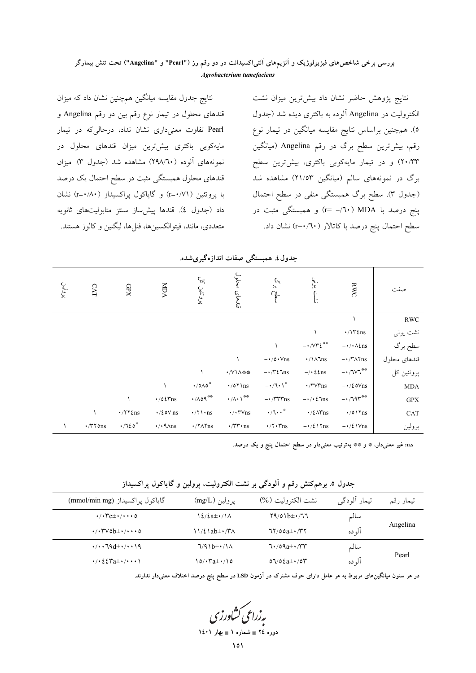نتايج جدول مقايسه ميانگين همچنين نشان داد كه ميزان قندهای محلول در تیمار نوع رقم بین دو رقم Angelina و Pearl تفاوت معنیداری نشان نداد، درحالیکه در تیمار مایهکوبی باکتری بیشترین میزان قندهای محلول در نمونههای آلوده (٢٩٨/٦٠) مشاهده شد (جدول ٣). ميزان قندهای محلول همبستگی مثبت در سطح احتمال یک درصد با پروتئین ( r=•/۷۱) و گایاکول پراکسیداز ( r=•/۸۰) نشان داد (جدول ٤). قندها پیش ساز سنتز متابولیتهای ثانویه متعددی، مانند، فیتوالکسینها، فنلها، لیگنین و کالوز هستند.

نتایج پژوهش حاضر نشان داد بیشترین میزان نشت الکترولیت در Angelina آلوده به باکتری دیده شد (جدول ٥). همچنین براساس نتایج مقایسه میانگین در تیمار نوع رقم، بیشترین سطح برگ در رقم Angelina (میانگین ۲۰/۳۳) و در تیمار مایهکوبی باکتری، بیشترین سطح برگ در نمونههای سالم (میانگین ۲۱/۵۳) مشاهده شد (جدول ٣). سطح برگ همبستگي منفي در سطح احتمال ینج درصد با MDA (٦٠- =r) و همبستگی مثبت در سطح احتمال پنج درصد با كاتالاز ( r=۰/٦٠) نشان داد.

|              | RWC                            | {:<br>{:                                        |                               | فندهاي                                    | پروتئین کار                        | MDA                            | GPX                   | <b>CAT</b>      | ېرولين<br>پر |
|--------------|--------------------------------|-------------------------------------------------|-------------------------------|-------------------------------------------|------------------------------------|--------------------------------|-----------------------|-----------------|--------------|
| <b>RWC</b>   |                                |                                                 |                               |                                           |                                    |                                |                       |                 |              |
| نشت یونی     | $\cdot/\Upsilon$ tns           |                                                 |                               |                                           |                                    |                                |                       |                 |              |
| سطح برگ      | $-\cdot/\cdot \Lambda$ $\ln$ s | $ \cdot$ / $\vee$ $\circ$ $\circ$ $\circ$       |                               |                                           |                                    |                                |                       |                 |              |
| قندهاي محلول | $-\cdot$ /۳ $\Lambda$ ۲ns      | $\cdot/\lambda\ln s$                            | $-\cdot$ / 0 $\cdot$ Vns      |                                           |                                    |                                |                       |                 |              |
| پروتئين کل   | $ \cdot$ / $\sqrt{V}$          | $-\prime \cdot 2$ $\epsilon$ ns                 | $-\cdot$ / $\sqrt{2}$ $\ln s$ | ·/V\A **                                  |                                    |                                |                       |                 |              |
| $\rm{MDA}$   | $-\cdot/\xi$ o $V$ ns          | $\cdot$ / $\mathsf{r}\vee\mathsf{r}\mathsf{ns}$ | $-1/7.1$                      | $\cdot$ /07 \ns                           | $\cdot$ /0 $\wedge$ 0 <sup>*</sup> |                                |                       |                 |              |
| <b>GPX</b>   | $-1795$                        | $-\cdot/\cdot\,$ ims                            | $-\cdot$ / $\tau\tau\tau$ ns  | $\cdot/\wedge\cdot$ \**                   | $\cdot$ //09**                     | $\cdot$ /02 $\tau$ ns          |                       |                 |              |
| CAT          | $-\cdot/0$ \ $\gamma$ ns       | $-\cdot/\ell\Lambda\text{Yns}$                  | $\cdot 7 \cdot \cdot$         | $-\cdot/\cdot\tau$ $\vee$ ns              | $\cdot/\tau\$ · ns                 | $-\cdot/2$ ov ns               | $\cdot$ /۲۲ $\ell$ ns |                 |              |
| پرولين       | $-\cdot/\ell \text{V}$ ns      | $-\cdot/\ell \text{ }\text{Yns}$                | $\cdot$ / $\cdot$ rns         | $\cdot$ / $\mathsf{rr} \cdot \mathsf{ns}$ | $\cdot$ / $\sqrt{\pi}$ ns          | $\cdot$ / $\cdot$ 9 $\land$ ns | $\cdot$ /720*         | $\cdot$ /۳۲ ons |              |

جدول٤. همبستگي صفات اندازهگيري شده.

n.s: غیر معنیدار، \* و \*\* بهترتیب معنیدار در سطح احتمال پنج و یک درصد.

جدول ٥. برهم کنش رقم و آلودگی بر نشت الکترولیت، پرولین و گایاکول پراکسیداز

| گاياكول پراكسيداز (mmol/min mg)                                                                                     | يرولين (mg/L)                                 | نشت الكتروليت (%) | تيمار ألودگي | تيمار رقم |
|---------------------------------------------------------------------------------------------------------------------|-----------------------------------------------|-------------------|--------------|-----------|
| $\cdot$ / $\cdot$ $\tau$ c $\pm$ $\cdot$ / $\cdot$ $\cdot$ 0                                                        |                                               | $79/01b\pm 177$   | سالم         |           |
| $\cdot$ / $\cdot$ ۳۷٥b $\pm$ $\cdot$ / $\cdot$ $\cdot$ ο                                                            | $11/2$ ab $\pm$ $\cdot$ / $\cdot$ / $\cdot$ / | $77/00a \pm 1/T$  | آلو ده       | Angelina  |
| $\cdot$ / $\cdot$ , $\cdot$ $\uparrow$ $\uparrow$ $\uparrow$ $\uparrow$ $\uparrow$ $\uparrow$ $\uparrow$ $\uparrow$ | $\sqrt{4}$                                    | $7.709a \pm 7.77$ | سالم         |           |
|                                                                                                                     | 0 ۱/۰۳a±۰/۱۵                                  | $07/02a\pm1/07$   | آلو ده       | Pearl     |

در هر ستون میانگینهای مربوط به هر عامل دارای حرف مشترک در اَزمون LSD در سطح پنج درصد اختلاف معنیدار ندارند.

بەزراعى كشاورزى دوره ٢٤ = شماره ١ = بهار ١٤٠١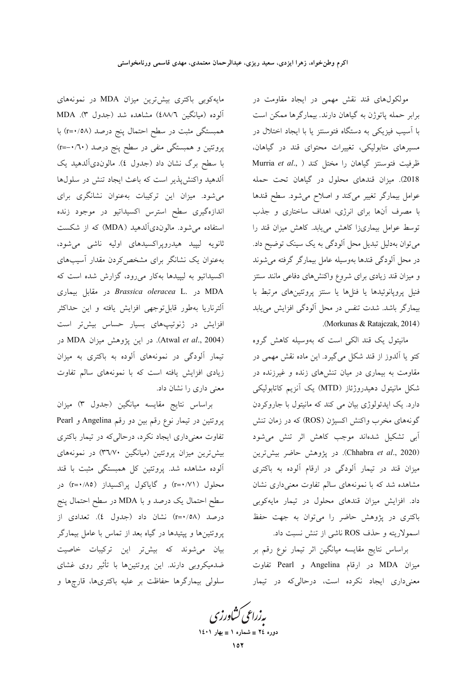مولکولهای قند نقش مهمی در ایجاد مقاومت در برابر حمله پاتوژن به گیاهان دارند. بیمارگرها ممکن است با آسیب فیزیکی به دستگاه فتوسنتز یا با ایجاد اختلال در مسیرهای متابولیکی، تغییرات محتوای قند در گیاهان، Murria et al., ) طرفيت فتوسنتز گياهان را مختل كند 2018). میزان قندهای محلول در گیاهان تحت حمله عوامل بیمارگر تغییر میکند و اصلاح میشود. سطح قندها با مصرف آنها برای انرژی، اهداف ساختاری و جذب توسط عوامل بیماریزا کاهش مییابد. کاهش میزان قند را می توان بهدلیل تبدیل محل آلودگی به یک سینک توضیح داد. در محل آلودگی قندها بهوسیله عامل بیمارگر گرفته میشوند و میزان قند زیادی برای شروع واکنشهای دفاعی مانند سنتز فنیل پروپانوئیدها یا فنلها یا سنتز پروتئینهای مرتبط با بیمارگر باشد. شدت تنفس در محل آلودگی افزایش می یابد .(Morkunas & Ratajczak, 2014)

مانیتول یک قند الکی است که بهوسیله کاهش گروه کتو یا آلدوز از قند شکل میگیرد. این ماده نقش مهمی در مقاومت به بیماری در میان تنشهای زنده و غیرزنده در شکل مانیتول دهیدروژئاز (MTD) یک آنزیم کاتابولیکی دارد. یک ایدئولوژی بیان می کند که مانیتول با جاروکردن گونههای مخرب واکنش اکسیژن (ROS) که در زمان تنش ۔<br>اَبِی تشکیل شدہاند موجب کاہش اثر تنش می شود (Chhabra et al., 2020). در پژوهش حاضر بیشتررین میزان قند در تیمار آلودگی در ارقام آلوده به باکتری مشاهده شد که با نمونههای سالم تفاوت معنیداری نشان داد. افزایش میزان قندهای محلول در تیمار مایهکوبی باکتری در پژوهش حاضر را میتوان به جهت حفظ اسمولاریته و حذف ROS ناشی از تنش نسبت داد.

براساس نتايج مقايسه ميانگين اثر تيمار نوع رقم بر ميزان MDA در ارقام Angelina و Pearl تفاوت معنیداری ایجاد نکرده است، درحالیکه در تیمار

مایه کوبی باکتری بیشترین میزان MDA در نمونههای آلوده (میانگین ٤٨٨/٦) مشاهده شد (جدول ٣). MDA همبستگی مثبت در سطح احتمال پنج درصد (r=٠/٥٨) با پروتئین و همبستگی منفی در سطح پنج درصد (۲۰/۰–r=) با سطح برگ نشان داد (جدول ٤). مالوندیآلدهید یک آلدهید واکنش پذیر است که باعث ایجاد تنش در سلولها میشود. میزان این ترکیبات بهعنوان نشانگری برای اندازهگیری سطح استرس اکسیداتیو در موجود زنده استفاده می شود. مالوندیآلدهید (MDA) که از شکست ثانویه لیپید هیدروپراکسیدهای اولیه ناشی میشود، بهعنوان یک نشانگر برای مشخص کردن مقدار آسیبهای اکسیداتیو به لیپیدها بهکار میرود، گزارش شده است که در مقابل بیماری Brassica oleracea L. در مقابل بیماری الترناريا بهطور قابلتوجهي افزايش يافته و اين حداكثر افزایش در ژنوتیپهای بسیار حساس بیش تر است (Atwal et al., 2004). در این پژوهش میزان MDA در تیمار آلودگی در نمونههای آلوده به باکتری به میزان زیادی افزایش یافته است که با نمونههای سالم تفاوت معنی داری را نشان داد.

براساس نتايج مقايسه ميانگين (جدول ٣) ميزان پروتئین در تیمار نوع رقم بین دو رقم Angelina و Pearl تفاوت معنیداری ایجاد نکرد، درحالیکه در تیمار باکتری بیش ترین میزان پروتئین (میانگین ۳٦/۷۰) در نمونههای آلوده مشاهده شد. پروتئین کل همبستگی مثبت با قند محلول (r=٠/٧١) و گایاکول پراکسیداز (r=٠/٨٥) در سطح احتمال یک درصد و با MDA در سطح احتمال پنج درصد (r=٠/٥٨) نشان داد (جدول ٤). تعدادي از پروتئینها و پپتیدها در گیاه بعد از تماس با عامل بیمارگر بیان میشوند که بیش تر این ترکیبات خاصیت ضدمیکروبی دارند. این پروتئینها با تأثیر روی غشای سلولی بیمارگرها حفاظت بر علیه باکتریها، قارچها و

بەزراعى كشاورز دوره ٢٤ = شماره ١ = بهار ١٤٠١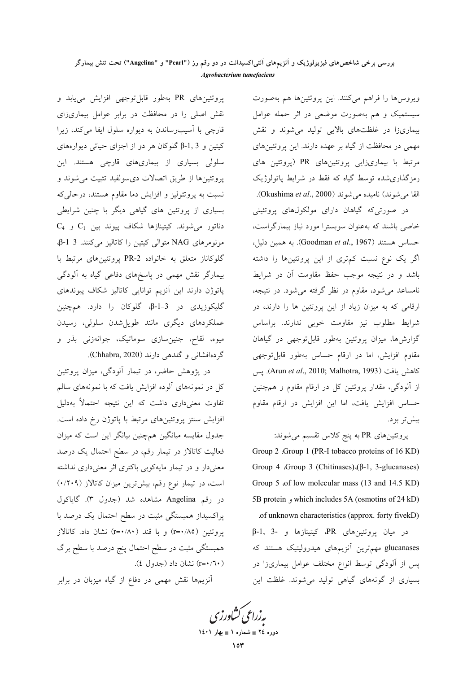ویروسها را فراهم میکنند. این پروتئینها هم بهصورت سیستمیک و هم بهصورت موضعی در اثر حمله عوامل بیماریزا در غلظتهای بالایی تولید می شوند و نقش مهمی در محافظت از گیاه بر عهده دارند. این پروتئینهای مرتبط با بیماریزایی پروتئینهای PR (پروتئین های رمزگذاری شده توسط گیاه که فقط در شرایط پاتولوژیک القا می شوند) نامیده می شوند (Okushima *et al.*, 2000).

در صورتی که گیاهان دارای مولکولهای پروتئینی خاصی باشند که بهعنوان سوبسترا مورد نیاز بیمارگراست، . حساس هستند (Goodman et al., 1967). به همین دلیل، اگر یک نوع نسبت کم تری از این پروتئینها را داشته باشد و در نتیجه موجب حفظ مقاومت آن در شرایط نامساعد میشود، مقاوم در نظر گرفته میشود. در نتیجه، ارقامی که به میزان زیاد از این پروتئین ها را دارند، در شرایط مطلوب نیز مقاومت خوبی ندارند. براساس گزارش ها، میزان پروتئین بهطور قابل توجهی در گیاهان .<br>مقاوم افزایش، اما در ارقام حساس بهطور قابلتوجهی كاهش يافت (Arun et al., 2010; Malhotra, 1993). يس از آلودگی، مقدار پروتئین کل در ارقام مقاوم و همچنین حساس افزایش یافت، اما این افزایش در ارقام مقاوم بیش تر بود.

پروتئینهای PR به پنج کلاس تقسیم می شوند: Group 2 .Group 1 (PR-I tobacco proteins of 16 KD) Group 4 .Group 3 (Chitinases). $(\beta-1, 3)$ -glucanases) Group 5 of low molecular mass (13 and 14.5 KD) 5B protein y which includes 5A (osmotins of 24 kD) .of unknown characteristics (approx. forty fivekD)

 $\beta$ -1, 3- در میان پروتئینهای PR، کیتینازها و glucanases مهم ترین آنزیمهای هیدرولیتیک هستند که پس از آلودگی توسط انواع مختلف عوامل بیماریزا در بسیاری از گونههای گیاهی تولید می شوند. غلظت این

پروتئینهای PR بهطور قابلتوجهی افزایش مییابد و نقش اصلی را در محافظت در برابر عوامل بیماریزای قارچی با آسیب رساندن به دیواره سلول ایفا میکند، زیرا کیتین و β-1, 3 گلوکان هر دو از اجزای حیاتی دیوارههای سلولی بسیاری از بیماریهای قارچی هستند. این پروتئينها از طريق اتصالات دىسولفيد تثبيت مى شوند و نسبت به پروتئولیز و افزایش دما مقاوم هستند، درحالیکه بسیاری از پروتئین های گیاهی دیگر با چنین شرایطی  $C_4$  دناتور میشوند. کیتینازها شکاف پیوند بین  $C_1$  و مونومرهای NAG متوالی کیتین را کاتالیز میکنند. 3-1-β، گلوکاناز متعلق به خانواده PR-2 پروتئینهای مرتبط با بیمارگر نقش مهمی در پاسخهای دفاعی گیاه به آلودگی پاتوژن دارند این آنزیم توانایی کاتالیز شکاف پیوندهای گلیکوزیدی در 3-1-β، گلوکان را دارد. همچنین عملکردهای دیگری مانند طویل شدن سلولی، رسیدن میوه، لقاح، جنینِسازی سوماتیک، جوانهزنی بذر و گردهافشانی و گلدهی دارند (Chhabra, 2020).

در پژوهش حاضر، در تیمار آلودگی، میزان پروتئین کل در نمونههای آلوده افزایش یافت که با نمونههای سالم تفاوت معنیداری داشت که این نتیجه احتمالاً بهدلیل افزایش سنتز پروتئینهای مرتبط با پاتوژن رخ داده است. جدول مقایسه میانگین همچنین بیانگر این است که میزان فعالیت کاتالاز در تیمار رقم، در سطح احتمال یک درصد معنیدار و در تیمار مایهکوبی باکتری اثر معنیداری نداشته است، در تیمار نوع رقم، بیشترین میزان کاتالاز (۰/۲۰۹) در رقم Angelina مشاهده شد (جدول ۳). گایاکول پراکسیداز همبستگی مثبت در سطح احتمال یک درصد با پروتئین (r=٠/٨٥) و با قند (r=٠/٨٠) نشان داد. كاتالاز همبستگی مثبت در سطح احتمال پنج درصد با سطح برگ (۲۰/ ۲۰=r) نشان داد (جدول ٤).

آنزیمها نقش مهمی در دفاع از گیاه میزبان در برابر

پەزراعى ڭئاورزى دوره ٢٤ = شماره ١ = بهار ١٤٠١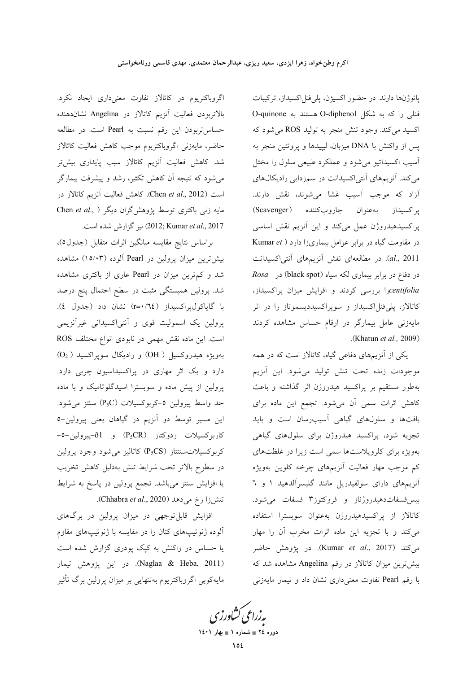اگروباکتریوم در کاتالاز تفاوت معنیداری ایجاد نکرد. بالاتربودن فعالیت آنزیم کاتالاز در Angelina نشاندهنده حساس تربودن این رقم نسبت به Pearl است. در مطالعه حاضر، مايەزنى اگروباكتريوم موجب كاهش فعاليت كاتالاز شد. کاهش فعالیت آنزیم کاتالاز سبب پایداری بیشتر می شود که نتیجه ان کاهش تکثیر، رشد و پیشرفت بیمارگر است (Chen et al., 2012). كاهش فعاليت آنزيم كاتالاز در مایه زنی باکتری توسط پژوهش گران دیگر ( ,Chen et al 2017) نيز گزارش شده است. (2012; Kumar et al., 2017

براساس نتايج مقايسه ميانگين اثرات متقابل (جدول٥)، بیش ترین میزان پرولین در Pearl آلوده (۱۵/۰۳) مشاهده شد و کم ترین میزان در Pearl عاری از باکتری مشاهده شد. پرولین همبستگی مثبت در سطح احتمال پنج درصد با گایاکولپراکسیداز (r=٠/٦٤) نشان داد (جدول ٤). پرولین یک اسمولیت قوی و آنتیاکسیدانی غیرآنزیمی است. این ماده نقش مهمی در نابودی انواع مختلف ROS  $(O_2)$  بەويژە هيدروكسيل (OH) و راديكال سوپراكسيد دارد و یک اثر مهاری در پراکسیداسیون چربی دارد. پرولین از پیش ماده و سوبسترا اسیدگلوتامیک و با ماده حد واسط پیرولین ٥-کربوکسیلات (P<sub>5</sub>C) سنتز می شود. این مسیر توسط دو آنزیم در گیاهان یعنی پیرولین-٥ كاربوكسيلات ردوكتاز (P<sub>5</sub>CR) و 61-پيرولين−0-کربوکسیلاتسنتتاز (P<sub>5</sub>CS) کاتالیز می شود وجود پرولین در سطوح بالاتر تحت شرايط تنش بهدليل كاهش تخريب یا افزایش سنتز میباشد. تجمع پرولین در پاسخ به شرایط تنش زا رخ می دهد (Chhabra et al., 2020).

افزایش قابل توجهی در میزان پرولین در برگهای آلوده ژنوتیپهای کتان را در مقایسه با ژنوتیپهای مقاوم یا حساس در واکنش به کپک پودری گزارش شده است (Naglaa & Heba, 2011). در اين يژوهش تيمار مایهکوبی اگروباکتریوم بهتنهایی بر میزان پرولین برگ تأثیر

یاتوژنها دارند. در حضور اکسیژن، پلیفنلاکسیداز، ترکیبات فنلی را که به شکل O-diphenol هستند به O-quinone اکسید میکند. وجود تنش منجر به تولید ROS می شود که پس از واکنش با DNA میزبان، لیپیدها و پروتئین منجر به آسيب اکسيداتيو مي شود و عملکرد طبيعي سلول را مختل میکند. آنزیمهای آنتیاکسیدانت در سمزدایی رادیکال های آزاد که موجب آسیب غشا میشوند، نقش دارند. پراکسیداز بهعنوان جاروبکننده (Scavenger) پراکسیدهیدروژن عمل میکند و این آنزیم نقش اساسی در مقاومت گیاه در برابر عوامل بیماریزا دارد ( Kumar et al., 2011). در مطالعهای نقش آنزیمهای آنتیاکسیدانت در دفاع در برابر بیماری لکه سیاه (black spot) در Rosa centifoliaرا بررسی کردند و افزایش میزان پراکسیداز، کاتالاز، پلیفنلاکسیداز و سوپراکسیددیسموتاز را در اثر مایهزنی عامل بیمارگر در ارقام حساس مشاهده کردند (Khatun et al., 2009).

یکی از آنزیمهای دفاعی گیاه، کاتالاز است که در همه موجودات زنده تحت تنش توليد مى شود. اين آنزيم بهطور مستقیم بر پراکسید هیدروژن اثر گذاشته و باعث كاهش اثرات سمى آن مىشود. تجمع اين ماده براى بافتها و سلولهای گیاهی آسیبرسان است و باید تجزیه شود، پراکسید هیدروژن برای سلولهای گیاهی بهویژه برای کلروپلاستها سمی است زیرا در غلظتهای کم موجب مهار فعالیت آنزیمهای چرخه کلوین بهویژه آنزیمهای دارای سولفیدریل مانند گلیسرآلدهید ۱ و ٦ بیس فسفات دهیدروژناز و فروکتوز۳ فسفات می شود. كاتالاز از پراكسيدهيدروژن بهعنوان سوبسترا استفاده میکند و با تجزیه این ماده اثرات مخرب آن را مهار میکند (Kumar et al., 2017). در پژوهش حاضر بیشترین میزان کاتالاز در رقم Angelina مشاهده شد که با رقم Pearl تفاوت معنى دارى نشان داد و تيمار مايهزنى

بەزراعى ڭشاورزى دوره ٢٤ = شماره ١ = بهار ١٤٠١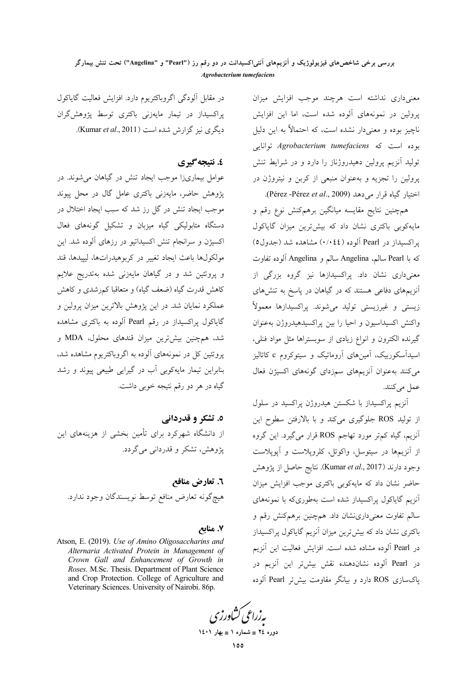معنى دارى نداشته است هرچند موجب افزايش ميزان پرولین در نمونههای آلوده شده است، اما این افزایش ناچیز بوده و معنیدار نشده است، که احتمالاً به این دلیل بوده است که Agrobacterium tumefaciens توانایی تولید آنزیم پرولین دهیدروژناز را دارد و در شرایط تنش یرولین را تجزیه و بهعنوان منبعی از کربن و نیتروژن در اختيار گياه قرار مي دهد (Pérez -Pérez et al., 2009).

همچنین نتایج مقایسه میانگین برهمکنش نوع رقم و مایه کوبی باکتری نشان داد که بیش ترین میزان گایاکول یر اکسیداز در Pearl آلوده (۰/۰٤٤) مشاهده شد (جدول٥) كه با Pearl سالم، Angelina سالم و Angelina آلوده تفاوت معنیداری نشان داد. پراکسیدازها نیز گروه بزرگی از آنزیمهای دفاعی هستند که در گیاهان در پاسخ به تنشهای زیستی و غیرزیستی تولید میشوند. پراکسیدازها معمولاً واكنش اكسيداسيون و احيا را بين يراكسيدهيدروژن بهعنوان گیرنده الکترون و انواع زیادی از سوبستراها مثل مواد فنلی، اسیدآسکوربیک، آمینهای آروماتیک و سیتوکروم c کاتالیز می کنند بهعنوان آنزیمهای سمزدای گونههای اکسیژن فعال عمل می کنند.

آنزیم پراکسیداز با شکستن هیدروژن پراکسید در سلول از تولید ROS جلوگیری میکند و با بالارفتن سطوح این آنزیم، گیاه کمتر مورد تهاجم ROS قرار میگیرد. این گروه از آنزیمها در سیتوسل، واکوئل، کلروپلاست و آپوپلاست وجود دارند (Kumar et al., 2017). نتايج حاصل از پژوهش حاضر نشان داد که مایهکوبی باکتری موجب افزایش میزان آنزیم گاپاکول پراکسیداز شده است بهطوریکه با نمونههای سالم تفاوت معنیداری شان داد. همچنین برهمکنش رقم و باکتری نشان داد که بیش ترین میزان آنزیم گایاکول پراکسیداز در Pearl آلوده مشاده شده است. افزایش فعالیت این آنزیم در Pearl آلوده نشاندهنده نقش بیش تر این آنزیم در یاکسازی ROS دارد و بیانگر مقاومت بیش تر Pearl آلوده

در مقابل آلودگی اگروباکتریوم دارد. افزایش فعالیت گایاکول پراکسیداز در تیمار مایهزنی باکتری توسط پژوهش گران دیگری نیز گزارش شده است (Kumar et al., 2011).

# ٤. نتىجە گېرى

عوامل بیماریزا موجب ایجاد تنش در گیاهان می شوند. در یژوهش حاضر، مایهزنی باکتری عامل گال در محل پیوند موجب ایجاد تنش در گل رز شد که سبب ایجاد اختلال در دستگاه متابولیکی گیاه میزبان و تشکیل گونههای فعال اکسیژن و سرانجام تنش اکسیداتیو در رزهای آلوده شد. این مولکولها باعث ايجاد تغيير در کربوهيدراتها، ليپيدها، قند و پروتئین شد و در گیاهان مایهزنی شده بهتدریج علایم کاهش قدرت گیاه (ضعف گیاه) و متعاقبا کمرشدی و کاهش عملکرد نمایان شد. در این پژوهش بالاترین میزان پرولین و گایاکول پراکسیداز در رقم Pearl آلوده به باکتری مشاهده شد، همچنین بیشترین میزان قندهای محلول، MDA و پروتئین کل در نمونههای آلوده به اگروباکتریوم مشاهده شد، بنابراین تیمار مایهکوبی آب در گیرایی طبیعی پیوند و رشد گیاه در هر دو رقم نتیجه خوبی داشت.

٥. تشکر و قدردانی از دانشگاه شهرکرد برای تأمین بخشی از هزینههای این پژوهش، تشکر و قدردانی میگردد.

٦. تعارض منافع هيچگونه تعارض منافع توسط نويسندگان وجود ندارد.

# ۷. منابع

Atson, E. (2019). Use of Amino Oligosaccharins and Alternaria Activated Protein in Management of Crown Gall and Enhancement of Growth in Roses. M.Sc. Thesis. Department of Plant Science and Crop Protection. College of Agriculture and Veterinary Sciences. University of Nairobi. 86p.

دوره ٢٤ = شماره ١ = بهار ١٤٠١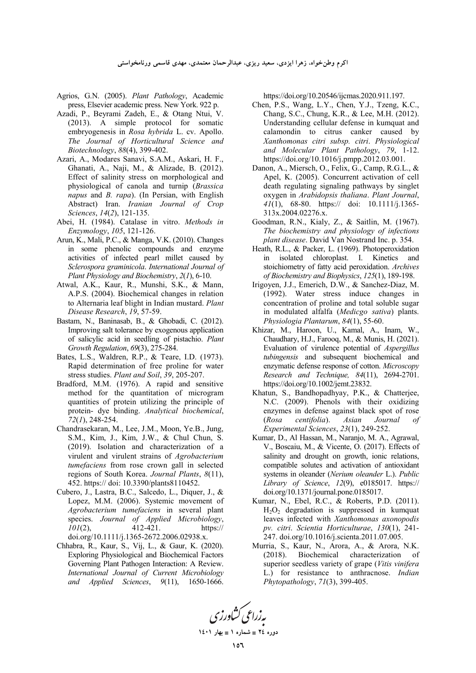اکرم وطن**خواه، زهرا ایزدی، سعید ریزی، عبدالرحمان معتمدی، مهدی قاسمی ورنامخواستی** 

- Agrios, G.N. (2005). *Plant Pathology*, Academic press, Elsevier academic press. New York. 922 p.
- Azadi, P., Beyrami Zadeh, E., & Otang Ntui, V. (2013). A simple protocol for somatic embryogenesis in *Rosa hybrida* L. cv. Apollo. *The Journal of Horticultural Science and Biotechnology*, *88*(4), 399-402.
- Azari, A., Modares Sanavi, S.A.M., Askari, H. F., Ghanati, A., Naji, M., & Alizade, B. (2012). Effect of salinity stress on morphological and physiological of canola and turnip (*Brassica napus* and *B. rapa*). (In Persian, with English Abstract) Iran. *Iranian Journal of Crop Sciences*, *14*(*2*), 121-135.
- Abei, H. (1984). Catalase in vitro. *Methods in Enzymology*, *105*, 121-126.
- Arun, K., Mali, P.C., & Manga, V.K. (2010). Changes in some phenolic compounds and enzyme activities of infected pearl millet caused by *Sclerospora graminicola*. *International Journal of Plant Physiology and Biochemistry*, *2*(*1*), 6-10.
- Atwal, A.K., Kaur, R., Munshi, S.K., & Mann, A.P.S. (2004). Biochemical changes in relation to Alternaria leaf blight in Indian mustard. *Plant Disease Research*, *19*, 57-59.
- Bastam, N., Baninasab, B., & Ghobadi, C. (2012). Improving salt tolerance by exogenous application of salicylic acid in seedling of pistachio. *Plant Growth Regulation*, *69*(3), 275-284.
- Bates, L.S., Waldren, R.P., & Teare, I.D. (1973). Rapid determination of free proline for water stress studies. *Plant and Soil*, *39*, 205-207.
- Bradford, M.M. (1976). A rapid and sensitive method for the quantitation of microgram quantities of protein utilizing the principle of protein- dye binding. *Analytical biochemical*, *72*(*1*), 248-254.
- Chandrasekaran, M., Lee, J.M., Moon, Ye.B., Jung, S.M., Kim, J., Kim, J.W., & Chul Chun, S. (2019). Isolation and characterization of a virulent and virulent strains of *Agrobacterium tumefaciens* from rose crown gall in selected regions of South Korea. *Journal Plants*, *8*(11), 452. https:// doi: 10.3390/plants8110452.
- Cubero, J., Lastra, B.C., Salcedo, L., Diquer, J., & Lopez, M.M. (2006). Systemic movement of *Agrobacterium tumefaciens* in several plant species. *Journal of Applied Microbiology*, *101*(2), 412-421. https:// doi.org/10.1111/j.1365-2672.2006.02938.x.
- Chhabra, R., Kaur, S., Vij, L., & Gaur, K. (2020). Exploring Physiological and Biochemical Factors Governing Plant Pathogen Interaction: A Review. *International Journal of Current Microbiology and Applied Sciences*, *9*(11), 1650-1666.

https://doi.org/10.20546/ijcmas.2020.911.197.

- Chen, P.S., Wang, L.Y., Chen, Y.J., Tzeng, K.C., Chang, S.C., Chung, K.R., & Lee, M.H. (2012). Understanding cellular defense in kumquat and calamondin to citrus canker caused by *Xanthomonas citri subsp. citri*. *Physiological and Molecular Plant Pathology*, *79*, 1-12. https://doi.org/10.1016/j.pmpp.2012.03.001.
- Danon, A., Miersch, O., Felix, G., Camp, R.G.L., & Apel, K. (2005). Concurrent activation of cell death regulating signaling pathways by singlet oxygen in *Arabidopsis thaliana*. *Plant Journal*, *41*(1), 68-80. https:// doi: 10.1111/j.1365- 313x.2004.02276.x.
- Goodman, R.N., Kialy, Z., & Saitlin, M. (1967). *The biochemistry and physiology of infections plant disease*. David Van Nostrand Inc. p. 354.
- Heath, R.L., & Packer, L. (1969). Photoperoxidation in isolated chloroplast. Ι. Kinetics and stoichiometry of fatty acid peroxidation. *Archives of Biochemistry and Biophysics*, *125*(1), 189-198.
- Irigoyen, J.J., Emerich, D.W., & Sanchez-Diaz, M. (1992). Water stress induce changes in concentration of proline and total soluble sugar in modulated alfalfa (*Medicgo sativa*) plants. *Physiologia Plantarum*, *84*(1), 55-60.
- Khizar, M., Haroon, U., Kamal, A., Inam, W., Chaudhary, H.J., Farooq, M., & Munis, H. (2021). Evaluation of virulence potential of *Aspergillus tubingensis* and subsequent biochemical and enzymatic defense response of cotton. *Microscopy Research and Technique, 84*(11), 2694-2701. https://doi.org/10.1002/jemt.23832.
- Khatun, S., Bandhopadhyay, P.K., & Chatterjee, N.C. (2009). Phenols with their oxidizing enzymes in defense against black spot of rose (*Rosa centifolia*). *Asian Journal of Experimental Sciences*, *23*(1), 249-252.
- Kumar, D., Al Hassan, M., Naranjo, M. A., Agrawal, V., Boscaiu, M., & Vicente, O. (2017). Effects of salinity and drought on growth, ionic relations, compatible solutes and activation of antioxidant systems in oleander (*Nerium oleander* L.). *Public Library of Science*, *12*(9), e0185017. https:// doi.org/10.1371/journal.pone.0185017.
- Kumar, N., Ebel, R.C., & Roberts, P.D. (2011). H2O2 degradation is suppressed in kumquat leaves infected with *Xanthomonas axonopodis pv. citri*. *Scientia Horticulturae*, *130*(1), 241- 247. doi.org/10.1016/j.scienta.2011.07.005.
- Murria, S., Kaur, N., Arora, A., & Arora, N.K. (2018). Biochemical characterization of superior seedless variety of grape (*Vitis vinifera* L.) for resistance to anthracnose. *Indian Phytopathology*, *71*(3), 399-405.

به زراعی کشاورزی **1401  1 - 24 -**